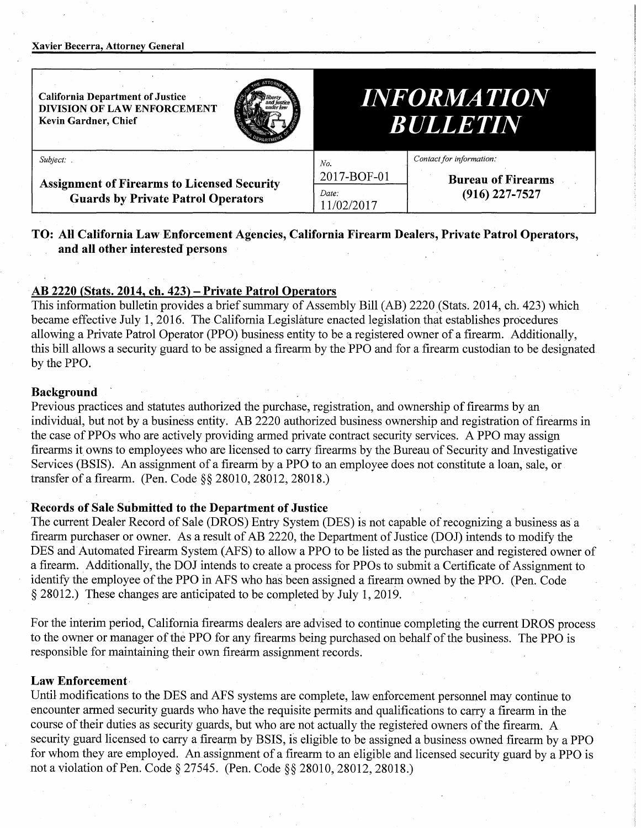#### **Xavier Becerra, Attorney General**

| <b>California Department of Justice</b><br>DIVISION OF LAW ENFORCEMENT<br>Kevin Gardner, Chief | <b>INFORMATION</b><br><b>BULLETIN</b>    |
|------------------------------------------------------------------------------------------------|------------------------------------------|
| Subject:                                                                                       | Contact for information:<br>No.          |
| <b>Assignment of Firearms to Licensed Security</b>                                             | 2017-BOF-01<br><b>Bureau of Firearms</b> |
| <b>Guards by Private Patrol Operators</b>                                                      | $(916)$ 227-7527<br>Date:<br>11/02/2017  |

# **TO: AH California Law Enforcement Agencies, California Firearm Dealers, Private Patrol Operators, and all other interested' persons**

# **AB 2220 {Stats. 2014, ch. 423)** - **Private Patrol Operators**

This information bulletin provides a brief summary of Assembly Bill (AB) 2220 (Stats. 2014, ch. 423) which became effective July 1, 2016. The California Legislature enacted legislation that establishes procedures allowing a Private Patrol Operator (PPO) business entity to be a registered owner of a firearm. Additionally, this bill allows a security guard to be assigned a firearm by the PPO and for a firearm custodian to be designated by the PPO.

### **Background**

Previous practices and statutes authorized the purchase, registration, and ownership of firearms by an individual, but not by a business entity. AB 2220 authorized business ownership and registration of firearms in the case of PPOs who are actively providing armed private contract security services. A PPO may assign firearms it owns to employees who are licensed to carry firearms by the Bureau of Security and Investigative Services (BSIS). An assignment of a firearni by a PPO to an employee does not constitute a loan, sale, or transfer of a firearm. (Pen. Code §§ 28010, 28012, 28018.)

## **Records of Sale Submitted to the Department of Justice**

The current Dealer Record of Sale (DROS) Entry System (DES) is not capable of recognizing a business as a firearm purchaser or owner. As a result of AB 2220, the Department of Justice (DOJ) intends to modify the DES and Automated Firearm System (AFS) to allow a PPO to be listed as the purchaser and registered owner of a firearm. Additionally, the DOJ intends to create a process for PPOs to submit a Certificate of Assignment to identify the employee of the PPO in AFS who has been assigned a firearm owned by the PPO. (Pen. Code § 28012.) These changes are anticipated to be completed by July 1, 2019.

For the interim period, California firearms dealers are advised to continue completing the current DROS process to the owner or manager of the PPO for any firearms being purchased on behalf of the business. The PPO is responsible for maintaining their own firearm assignment records.

# **Law Enforcement·**

Until modifications to the DES and AFS systems are complete, law enforcement personnel may continue to encounter armed security guards who have the requisite permits and qualifications to carry a firearm in the course of their duties as security guards, but who are not actually the registered owners of the firearm. A security guard licensed to carry a firearm by BSIS, is eligible to be assigned a business owned firearm by a PPO for whom they are employed. An assignment of a firearm to an eligible and licensed security guard by a PPO is not a violation of Pen. Code§ 27545. (Pen. Code§§ 28010, 28012, 28018.)